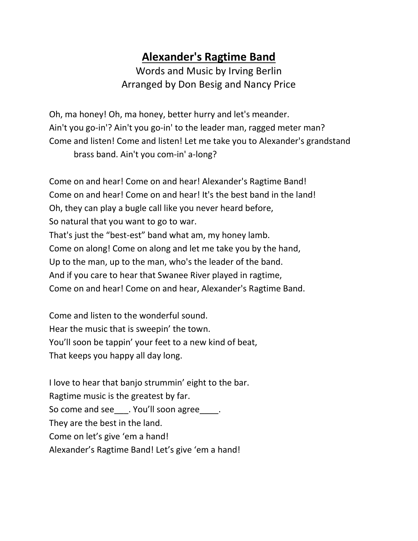# Alexander's Ragtime Band

Words and Music by Irving Berlin Arranged by Don Besig and Nancy Price

Oh, ma honey! Oh, ma honey, better hurry and let's meander. Ain't you go-in'? Ain't you go-in' to the leader man, ragged meter man? Come and listen! Come and listen! Let me take you to Alexander's grandstand brass band. Ain't you com-in' a-long?

Come on and hear! Come on and hear! Alexander's Ragtime Band! Come on and hear! Come on and hear! It's the best band in the land! Oh, they can play a bugle call like you never heard before, So natural that you want to go to war. That's just the "best-est" band what am, my honey lamb. Come on along! Come on along and let me take you by the hand, Up to the man, up to the man, who's the leader of the band. And if you care to hear that Swanee River played in ragtime, Come on and hear! Come on and hear, Alexander's Ragtime Band.

Come and listen to the wonderful sound. Hear the music that is sweepin' the town. You'll soon be tappin' your feet to a new kind of beat, That keeps you happy all day long.

I love to hear that banjo strummin' eight to the bar. Ragtime music is the greatest by far. So come and see \_\_\_. You'll soon agree \_\_\_\_. They are the best in the land. Come on let's give 'em a hand! Alexander's Ragtime Band! Let's give 'em a hand!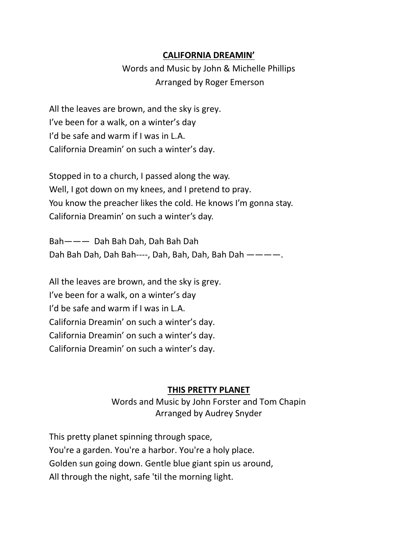### CALIFORNIA DREAMIN'

Words and Music by John & Michelle Phillips Arranged by Roger Emerson

All the leaves are brown, and the sky is grey. I've been for a walk, on a winter's day I'd be safe and warm if I was in L.A. California Dreamin' on such a winter's day.

Stopped in to a church, I passed along the way. Well, I got down on my knees, and I pretend to pray. You know the preacher likes the cold. He knows I'm gonna stay. California Dreamin' on such a winter's day.

Bah——— Dah Bah Dah, Dah Bah Dah Dah Bah Dah, Dah Bah----, Dah, Bah, Dah, Bah Dah ————.

All the leaves are brown, and the sky is grey. I've been for a walk, on a winter's day I'd be safe and warm if I was in L.A. California Dreamin' on such a winter's day. California Dreamin' on such a winter's day. California Dreamin' on such a winter's day.

#### THIS PRETTY PLANET

Words and Music by John Forster and Tom Chapin Arranged by Audrey Snyder

This pretty planet spinning through space, You're a garden. You're a harbor. You're a holy place. Golden sun going down. Gentle blue giant spin us around, All through the night, safe 'til the morning light.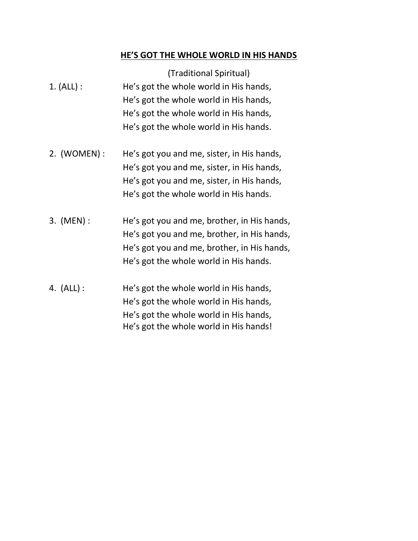### HE'S GOT THE WHOLE WORLD IN HIS HANDS

- (Traditional Spiritual) 1. (ALL) : He's got the whole world in His hands, He's got the whole world in His hands, He's got the whole world in His hands, He's got the whole world in His hands.
- 2. (WOMEN) : He's got you and me, sister, in His hands, He's got you and me, sister, in His hands, He's got you and me, sister, in His hands, He's got the whole world in His hands.
- 3. (MEN) : He's got you and me, brother, in His hands, He's got you and me, brother, in His hands, He's got you and me, brother, in His hands, He's got the whole world in His hands.
- 4. (ALL) : He's got the whole world in His hands, He's got the whole world in His hands, He's got the whole world in His hands, He's got the whole world in His hands!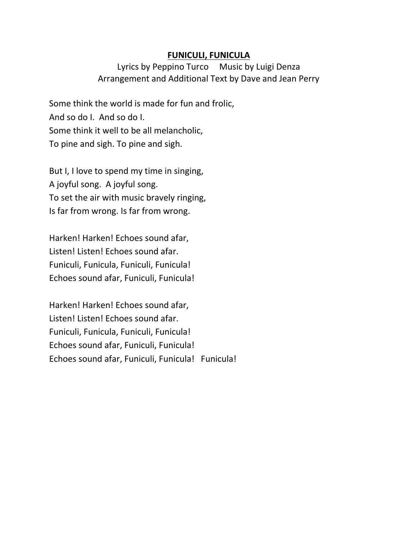### FUNICULI, FUNICULA

## Lyrics by Peppino Turco Music by Luigi Denza Arrangement and Additional Text by Dave and Jean Perry

Some think the world is made for fun and frolic, And so do I. And so do I. Some think it well to be all melancholic, To pine and sigh. To pine and sigh.

But I, I love to spend my time in singing, A joyful song. A joyful song. To set the air with music bravely ringing, Is far from wrong. Is far from wrong.

Harken! Harken! Echoes sound afar, Listen! Listen! Echoes sound afar. Funiculi, Funicula, Funiculi, Funicula! Echoes sound afar, Funiculi, Funicula!

Harken! Harken! Echoes sound afar, Listen! Listen! Echoes sound afar. Funiculi, Funicula, Funiculi, Funicula! Echoes sound afar, Funiculi, Funicula! Echoes sound afar, Funiculi, Funicula! Funicula!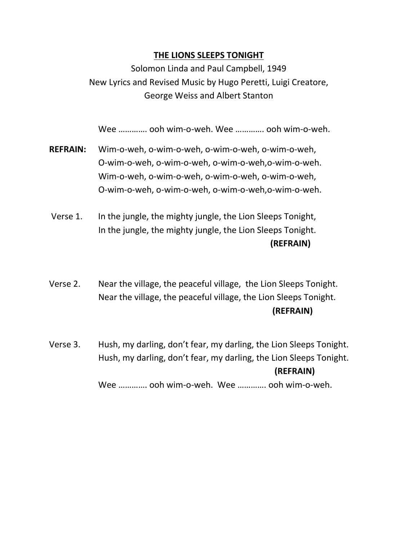### THE LIONS SLEEPS TONIGHT

Solomon Linda and Paul Campbell, 1949 New Lyrics and Revised Music by Hugo Peretti, Luigi Creatore, George Weiss and Albert Stanton

Wee …………. ooh wim-o-weh. Wee …………. ooh wim-o-weh.

- REFRAIN: Wim-o-weh, o-wim-o-weh, o-wim-o-weh, o-wim-o-weh, O-wim-o-weh, o-wim-o-weh, o-wim-o-weh,o-wim-o-weh. Wim-o-weh, o-wim-o-weh, o-wim-o-weh, o-wim-o-weh, O-wim-o-weh, o-wim-o-weh, o-wim-o-weh,o-wim-o-weh.
- Verse 1. In the jungle, the mighty jungle, the Lion Sleeps Tonight, In the jungle, the mighty jungle, the Lion Sleeps Tonight. (REFRAIN)
- Verse 2. Near the village, the peaceful village, the Lion Sleeps Tonight. Near the village, the peaceful village, the Lion Sleeps Tonight. (REFRAIN)
- Verse 3. Hush, my darling, don't fear, my darling, the Lion Sleeps Tonight. Hush, my darling, don't fear, my darling, the Lion Sleeps Tonight. (REFRAIN) Wee …………. ooh wim-o-weh. Wee …………. ooh wim-o-weh.